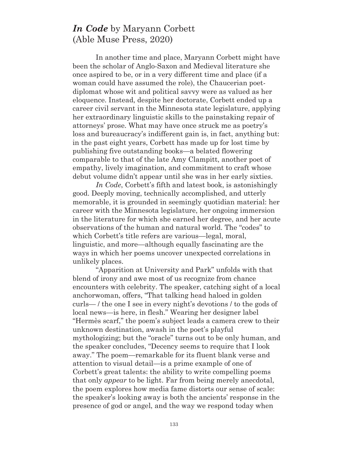## *In Code* by Maryann Corbett (Able Muse Press, 2020)

In another time and place, Maryann Corbett might have been the scholar of Anglo-Saxon and Medieval literature she once aspired to be, or in a very different time and place (if a woman could have assumed the role), the Chaucerian poetdiplomat whose wit and political savvy were as valued as her eloquence. Instead, despite her doctorate, Corbett ended up a career civil servant in the Minnesota state legislature, applying her extraordinary linguistic skills to the painstaking repair of attorneys' prose. What may have once struck me as poetry's loss and bureaucracy's indifferent gain is, in fact, anything but: in the past eight years, Corbett has made up for lost time by publishing five outstanding books—a belated flowering comparable to that of the late Amy Clampitt, another poet of empathy, lively imagination, and commitment to craft whose debut volume didn't appear until she was in her early sixties.

*In Code*, Corbett's fifth and latest book, is astonishingly good. Deeply moving, technically accomplished, and utterly memorable, it is grounded in seemingly quotidian material: her career with the Minnesota legislature, her ongoing immersion in the literature for which she earned her degree, and her acute observations of the human and natural world. The "codes" to which Corbett's title refers are various—legal, moral, linguistic, and more—although equally fascinating are the ways in which her poems uncover unexpected correlations in unlikely places.

"Apparition at University and Park" unfolds with that blend of irony and awe most of us recognize from chance encounters with celebrity. The speaker, catching sight of a local anchorwoman, offers, "That talking head haloed in golden curls— / the one I see in every night's devotions / to the gods of local news—is here, in flesh." Wearing her designer label "Hermès scarf," the poem's subject leads a camera crew to their unknown destination, awash in the poet's playful mythologizing; but the "oracle" turns out to be only human, and the speaker concludes, "Decency seems to require that I look away." The poem—remarkable for its fluent blank verse and attention to visual detail—is a prime example of one of Corbett's great talents: the ability to write compelling poems that only *appear* to be light. Far from being merely anecdotal, the poem explores how media fame distorts our sense of scale: the speaker's looking away is both the ancients' response in the presence of god or angel, and the way we respond today when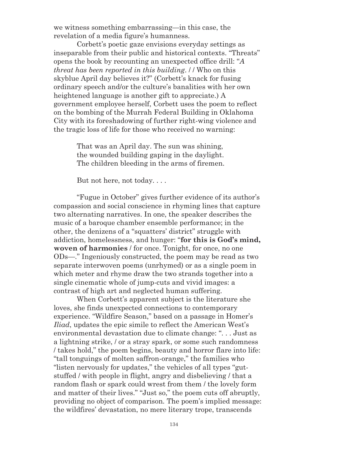we witness something embarrassing—in this case, the revelation of a media figure's humanness.

Corbett's poetic gaze envisions everyday settings as inseparable from their public and historical contexts. "Threats" opens the book by recounting an unexpected office drill: "*A threat has been reported in this building*. / / Who on this skyblue April day believes it?" (Corbett's knack for fusing ordinary speech and/or the culture's banalities with her own heightened language is another gift to appreciate.) A government employee herself, Corbett uses the poem to reflect on the bombing of the Murrah Federal Building in Oklahoma City with its foreshadowing of further right-wing violence and the tragic loss of life for those who received no warning:

> That was an April day. The sun was shining, the wounded building gaping in the daylight. The children bleeding in the arms of firemen.

But not here, not today. . . .

"Fugue in October" gives further evidence of its author's compassion and social conscience in rhyming lines that capture two alternating narratives. In one, the speaker describes the music of a baroque chamber ensemble performance; in the other, the denizens of a "squatters' district" struggle with addiction, homelessness, and hunger: "**for this is God's mind, woven of harmonies** / for once. Tonight, for once, no one ODs—." Ingeniously constructed, the poem may be read as two separate interwoven poems (unrhymed) or as a single poem in which meter and rhyme draw the two strands together into a single cinematic whole of jump-cuts and vivid images: a contrast of high art and neglected human suffering.

When Corbett's apparent subject is the literature she loves, she finds unexpected connections to contemporary experience. "Wildfire Season," based on a passage in Homer's *Iliad*, updates the epic simile to reflect the American West's environmental devastation due to climate change: ". . . Just as a lightning strike, / or a stray spark, or some such randomness / takes hold," the poem begins, beauty and horror flare into life: "tall tonguings of molten saffron-orange," the families who "listen nervously for updates," the vehicles of all types "gutstuffed / with people in flight, angry and disbelieving / that a random flash or spark could wrest from them / the lovely form and matter of their lives." "Just so," the poem cuts off abruptly, providing no object of comparison. The poem's implied message: the wildfires' devastation, no mere literary trope, transcends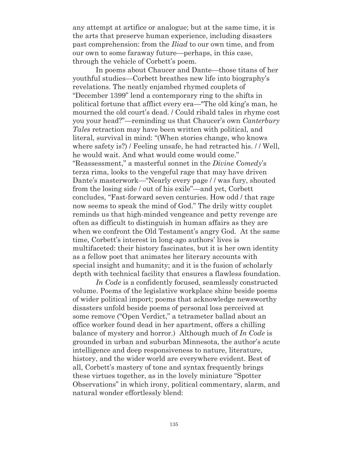any attempt at artifice or analogue; but at the same time, it is the arts that preserve human experience, including disasters past comprehension: from the *Iliad* to our own time, and from our own to some faraway future—perhaps, in this case, through the vehicle of Corbett's poem.

In poems about Chaucer and Dante—those titans of her youthful studies—Corbett breathes new life into biography's revelations. The neatly enjambed rhymed couplets of "December 1399" lend a contemporary ring to the shifts in political fortune that afflict every era—"The old king's man, he mourned the old court's dead. / Could ribald tales in rhyme cost you your head?"—reminding us that Chaucer's own *Canterbury Tales* retraction may have been written with political, and literal, survival in mind: "(When stories change, who knows where safety is?) / Feeling unsafe, he had retracted his. // Well, he would wait. And what would come would come." "Reassessment," a masterful sonnet in the *Divine Comedy*'s terza rima, looks to the vengeful rage that may have driven Dante's masterwork—"Nearly every page / / was fury, shouted from the losing side / out of his exile"—and yet, Corbett concludes, "Fast-forward seven centuries. How odd / that rage now seems to speak the mind of God." The drily witty couplet reminds us that high-minded vengeance and petty revenge are often as difficult to distinguish in human affairs as they are when we confront the Old Testament's angry God. At the same time, Corbett's interest in long-ago authors' lives is multifaceted: their history fascinates, but it is her own identity as a fellow poet that animates her literary accounts with special insight and humanity; and it is the fusion of scholarly depth with technical facility that ensures a flawless foundation.

*In Code* is a confidently focused, seamlessly constructed volume. Poems of the legislative workplace shine beside poems of wider political import; poems that acknowledge newsworthy disasters unfold beside poems of personal loss perceived at some remove ("Open Verdict," a tetrameter ballad about an office worker found dead in her apartment, offers a chilling balance of mystery and horror.) Although much of *In Code* is grounded in urban and suburban Minnesota, the author's acute intelligence and deep responsiveness to nature, literature, history, and the wider world are everywhere evident. Best of all, Corbett's mastery of tone and syntax frequently brings these virtues together, as in the lovely miniature "Spotter Observations" in which irony, political commentary, alarm, and natural wonder effortlessly blend: